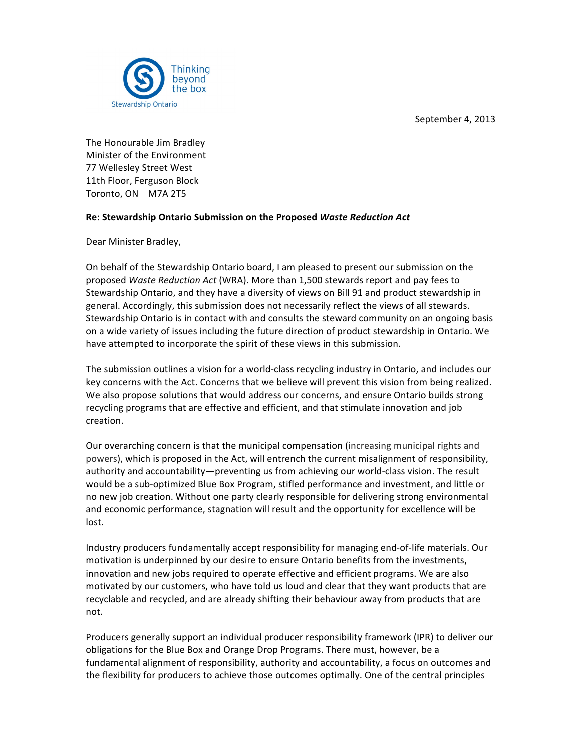September 4, 2013



The Honourable Jim Bradley Minister of the Environment 77 Wellesley Street West 11th Floor, Ferguson Block Toronto, ON M7A 2T5

# **Re: Stewardship Ontario Submission on the Proposed Waste Reduction Act**

Dear Minister Bradley,

On behalf of the Stewardship Ontario board, I am pleased to present our submission on the proposed *Waste Reduction Act* (WRA). More than 1,500 stewards report and pay fees to Stewardship Ontario, and they have a diversity of views on Bill 91 and product stewardship in general. Accordingly, this submission does not necessarily reflect the views of all stewards. Stewardship Ontario is in contact with and consults the steward community on an ongoing basis on a wide variety of issues including the future direction of product stewardship in Ontario. We have attempted to incorporate the spirit of these views in this submission.

The submission outlines a vision for a world-class recycling industry in Ontario, and includes our key concerns with the Act. Concerns that we believe will prevent this vision from being realized. We also propose solutions that would address our concerns, and ensure Ontario builds strong recycling programs that are effective and efficient, and that stimulate innovation and job creation.

Our overarching concern is that the municipal compensation (increasing municipal rights and powers), which is proposed in the Act, will entrench the current misalignment of responsibility, authority and accountability—preventing us from achieving our world-class vision. The result would be a sub-optimized Blue Box Program, stifled performance and investment, and little or no new job creation. Without one party clearly responsible for delivering strong environmental and economic performance, stagnation will result and the opportunity for excellence will be lost. 

Industry producers fundamentally accept responsibility for managing end-of-life materials. Our motivation is underpinned by our desire to ensure Ontario benefits from the investments, innovation and new jobs required to operate effective and efficient programs. We are also motivated by our customers, who have told us loud and clear that they want products that are recyclable and recycled, and are already shifting their behaviour away from products that are not.

Producers generally support an individual producer responsibility framework (IPR) to deliver our obligations for the Blue Box and Orange Drop Programs. There must, however, be a fundamental alignment of responsibility, authority and accountability, a focus on outcomes and the flexibility for producers to achieve those outcomes optimally. One of the central principles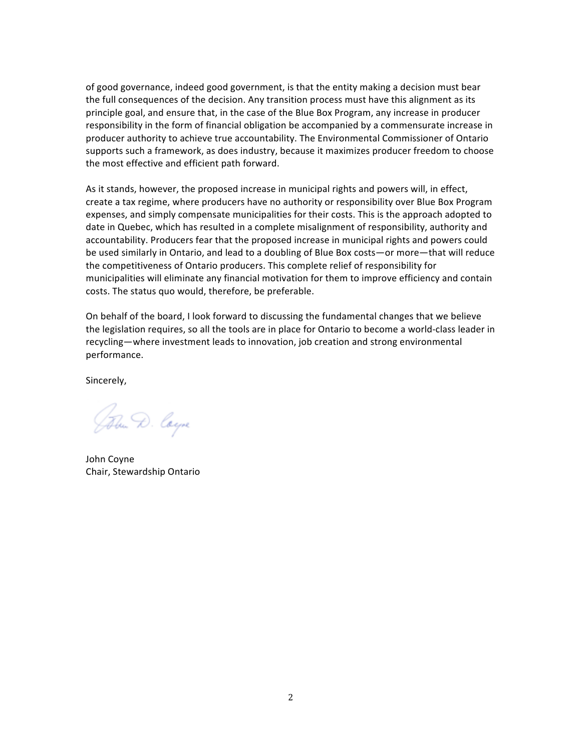of good governance, indeed good government, is that the entity making a decision must bear the full consequences of the decision. Any transition process must have this alignment as its principle goal, and ensure that, in the case of the Blue Box Program, any increase in producer responsibility in the form of financial obligation be accompanied by a commensurate increase in producer authority to achieve true accountability. The Environmental Commissioner of Ontario supports such a framework, as does industry, because it maximizes producer freedom to choose the most effective and efficient path forward.

As it stands, however, the proposed increase in municipal rights and powers will, in effect, create a tax regime, where producers have no authority or responsibility over Blue Box Program expenses, and simply compensate municipalities for their costs. This is the approach adopted to date in Quebec, which has resulted in a complete misalignment of responsibility, authority and accountability. Producers fear that the proposed increase in municipal rights and powers could be used similarly in Ontario, and lead to a doubling of Blue Box costs—or more—that will reduce the competitiveness of Ontario producers. This complete relief of responsibility for municipalities will eliminate any financial motivation for them to improve efficiency and contain costs. The status quo would, therefore, be preferable.

On behalf of the board, I look forward to discussing the fundamental changes that we believe the legislation requires, so all the tools are in place for Ontario to become a world-class leader in recycling—where investment leads to innovation, job creation and strong environmental performance.

Sincerely, 

John D. Coyne

John Coyne Chair, Stewardship Ontario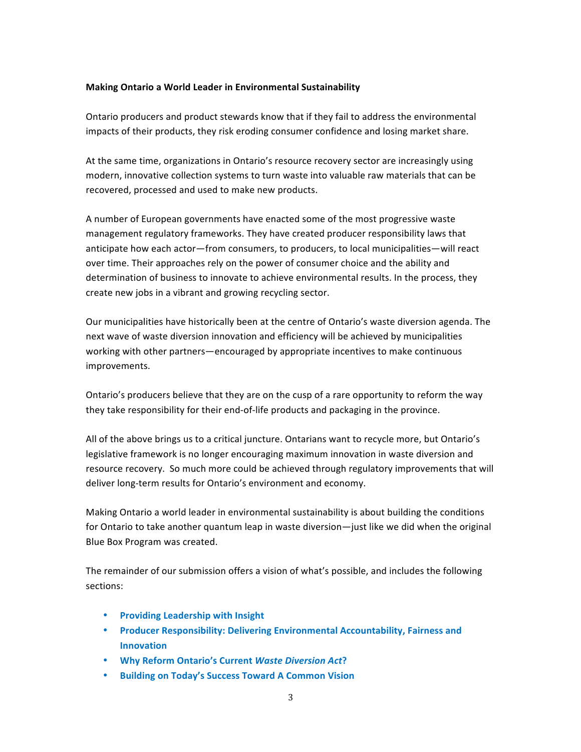## **Making Ontario a World Leader in Environmental Sustainability**

Ontario producers and product stewards know that if they fail to address the environmental impacts of their products, they risk eroding consumer confidence and losing market share.

At the same time, organizations in Ontario's resource recovery sector are increasingly using modern, innovative collection systems to turn waste into valuable raw materials that can be recovered, processed and used to make new products.

A number of European governments have enacted some of the most progressive waste management regulatory frameworks. They have created producer responsibility laws that anticipate how each actor—from consumers, to producers, to local municipalities—will react over time. Their approaches rely on the power of consumer choice and the ability and determination of business to innovate to achieve environmental results. In the process, they create new jobs in a vibrant and growing recycling sector.

Our municipalities have historically been at the centre of Ontario's waste diversion agenda. The next wave of waste diversion innovation and efficiency will be achieved by municipalities working with other partners—encouraged by appropriate incentives to make continuous improvements. 

Ontario's producers believe that they are on the cusp of a rare opportunity to reform the way they take responsibility for their end-of-life products and packaging in the province.

All of the above brings us to a critical juncture. Ontarians want to recycle more, but Ontario's legislative framework is no longer encouraging maximum innovation in waste diversion and resource recovery. So much more could be achieved through regulatory improvements that will deliver long-term results for Ontario's environment and economy.

Making Ontario a world leader in environmental sustainability is about building the conditions for Ontario to take another quantum leap in waste diversion—just like we did when the original Blue Box Program was created.

The remainder of our submission offers a vision of what's possible, and includes the following sections:

- **Providing Leadership with Insight**
- **Producer Responsibility: Delivering Environmental Accountability, Fairness and Innovation**
- **Why Reform Ontario's Current** *Waste Diversion Act***?**
- **Building on Today's Success Toward A Common Vision**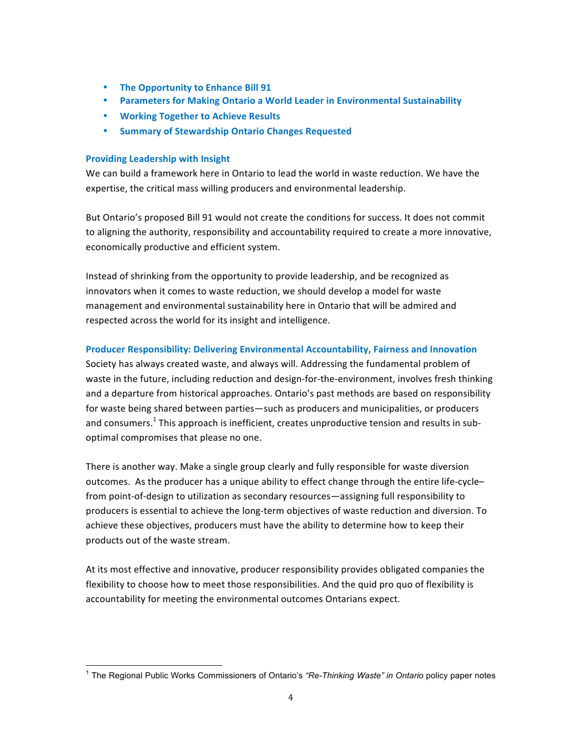- **The Opportunity to Enhance Bill 91**
- Parameters for Making Ontario a World Leader in Environmental Sustainability
- **Working Together to Achieve Results**
- **Summary of Stewardship Ontario Changes Requested**

#### **Providing Leadership with Insight**

We can build a framework here in Ontario to lead the world in waste reduction. We have the expertise, the critical mass willing producers and environmental leadership.

But Ontario's proposed Bill 91 would not create the conditions for success. It does not commit to aligning the authority, responsibility and accountability required to create a more innovative, economically productive and efficient system.

Instead of shrinking from the opportunity to provide leadership, and be recognized as innovators when it comes to waste reduction, we should develop a model for waste management and environmental sustainability here in Ontario that will be admired and respected across the world for its insight and intelligence.

## **Producer Responsibility: Delivering Environmental Accountability, Fairness and Innovation**

Society has always created waste, and always will. Addressing the fundamental problem of waste in the future, including reduction and design-for-the-environment, involves fresh thinking and a departure from historical approaches. Ontario's past methods are based on responsibility for waste being shared between parties—such as producers and municipalities, or producers and consumers.<sup>1</sup> This approach is inefficient, creates unproductive tension and results in suboptimal compromises that please no one.

There is another way. Make a single group clearly and fully responsible for waste diversion outcomes. As the producer has a unique ability to effect change through the entire life-cyclefrom point-of-design to utilization as secondary resources—assigning full responsibility to producers is essential to achieve the long-term objectives of waste reduction and diversion. To achieve these objectives, producers must have the ability to determine how to keep their products out of the waste stream.

At its most effective and innovative, producer responsibility provides obligated companies the flexibility to choose how to meet those responsibilities. And the quid pro quo of flexibility is accountability for meeting the environmental outcomes Ontarians expect.

 <sup>1</sup> The Regional Public Works Commissioners of Ontario's *"Re-Thinking Waste" in Ontario* policy paper notes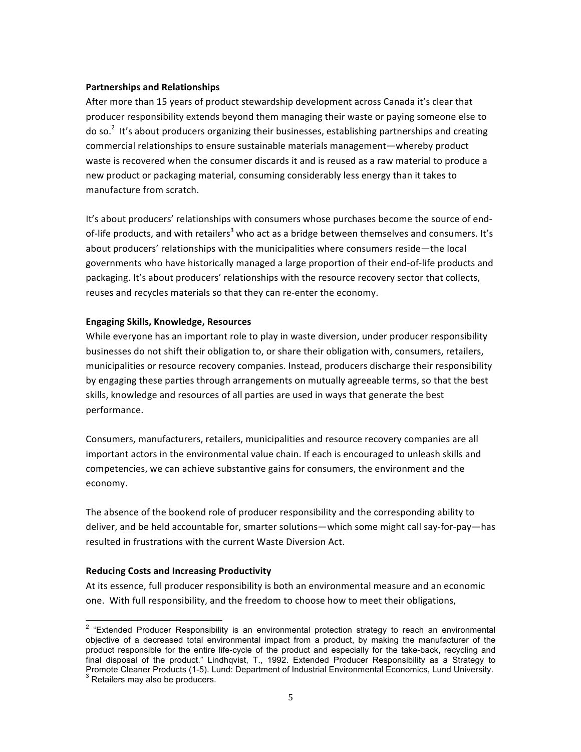#### **Partnerships and Relationships**

After more than 15 years of product stewardship development across Canada it's clear that producer responsibility extends beyond them managing their waste or paying someone else to do so.<sup>2</sup> It's about producers organizing their businesses, establishing partnerships and creating commercial relationships to ensure sustainable materials management—whereby product waste is recovered when the consumer discards it and is reused as a raw material to produce a new product or packaging material, consuming considerably less energy than it takes to manufacture from scratch.

It's about producers' relationships with consumers whose purchases become the source of endof-life products, and with retailers<sup>3</sup> who act as a bridge between themselves and consumers. It's about producers' relationships with the municipalities where consumers reside—the local governments who have historically managed a large proportion of their end-of-life products and packaging. It's about producers' relationships with the resource recovery sector that collects, reuses and recycles materials so that they can re-enter the economy.

#### **Engaging Skills, Knowledge, Resources**

While everyone has an important role to play in waste diversion, under producer responsibility businesses do not shift their obligation to, or share their obligation with, consumers, retailers, municipalities or resource recovery companies. Instead, producers discharge their responsibility by engaging these parties through arrangements on mutually agreeable terms, so that the best skills, knowledge and resources of all parties are used in ways that generate the best performance.

Consumers, manufacturers, retailers, municipalities and resource recovery companies are all important actors in the environmental value chain. If each is encouraged to unleash skills and competencies, we can achieve substantive gains for consumers, the environment and the economy.

The absence of the bookend role of producer responsibility and the corresponding ability to deliver, and be held accountable for, smarter solutions—which some might call say-for-pay—has resulted in frustrations with the current Waste Diversion Act.

## **Reducing Costs and Increasing Productivity**

At its essence, full producer responsibility is both an environmental measure and an economic one. With full responsibility, and the freedom to choose how to meet their obligations,

<sup>&</sup>lt;sup>2</sup> "Extended Producer Responsibility is an environmental protection strategy to reach an environmental objective of a decreased total environmental impact from a product, by making the manufacturer of the product responsible for the entire life-cycle of the product and especially for the take-back, recycling and final disposal of the product." Lindhqvist, T., 1992. Extended Producer Responsibility as a Strategy to Promote Cleaner Products (1-5). Lund: Department of Industrial Environmental Economics, Lund University.<br><sup>3</sup> Retailers may also be producers.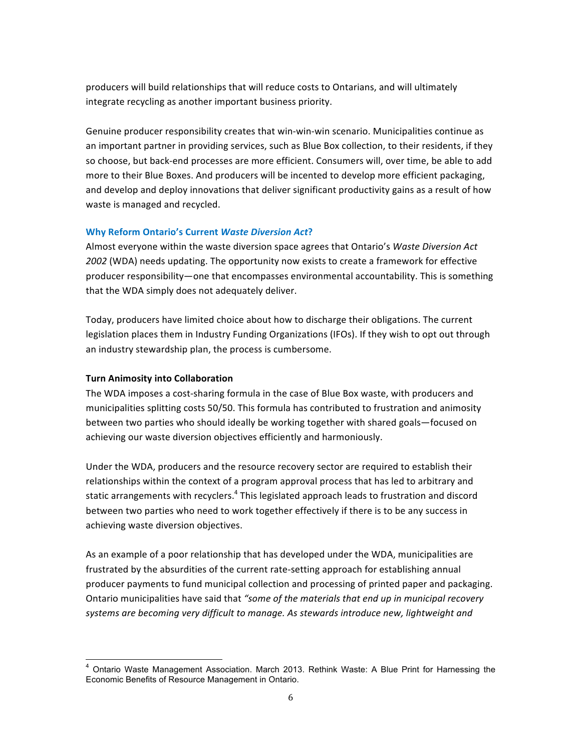producers will build relationships that will reduce costs to Ontarians, and will ultimately integrate recycling as another important business priority.

Genuine producer responsibility creates that win-win-win scenario. Municipalities continue as an important partner in providing services, such as Blue Box collection, to their residents, if they so choose, but back-end processes are more efficient. Consumers will, over time, be able to add more to their Blue Boxes. And producers will be incented to develop more efficient packaging, and develop and deploy innovations that deliver significant productivity gains as a result of how waste is managed and recycled.

# **Why Reform Ontario's Current Waste Diversion Act?**

Almost everyone within the waste diversion space agrees that Ontario's Waste Diversion Act 2002 (WDA) needs updating. The opportunity now exists to create a framework for effective producer responsibility—one that encompasses environmental accountability. This is something that the WDA simply does not adequately deliver.

Today, producers have limited choice about how to discharge their obligations. The current legislation places them in Industry Funding Organizations (IFOs). If they wish to opt out through an industry stewardship plan, the process is cumbersome.

# **Turn Animosity into Collaboration**

The WDA imposes a cost-sharing formula in the case of Blue Box waste, with producers and municipalities splitting costs 50/50. This formula has contributed to frustration and animosity between two parties who should ideally be working together with shared goals—focused on achieving our waste diversion objectives efficiently and harmoniously.

Under the WDA, producers and the resource recovery sector are required to establish their relationships within the context of a program approval process that has led to arbitrary and static arrangements with recyclers.<sup>4</sup> This legislated approach leads to frustration and discord between two parties who need to work together effectively if there is to be any success in achieving waste diversion objectives.

As an example of a poor relationship that has developed under the WDA, municipalities are frustrated by the absurdities of the current rate-setting approach for establishing annual producer payments to fund municipal collection and processing of printed paper and packaging. Ontario municipalities have said that "some of the materials that end up in municipal recovery systems are becoming very difficult to manage. As stewards introduce new, lightweight and

 <sup>4</sup> Ontario Waste Management Association. March 2013. Rethink Waste: A Blue Print for Harnessing the Economic Benefits of Resource Management in Ontario.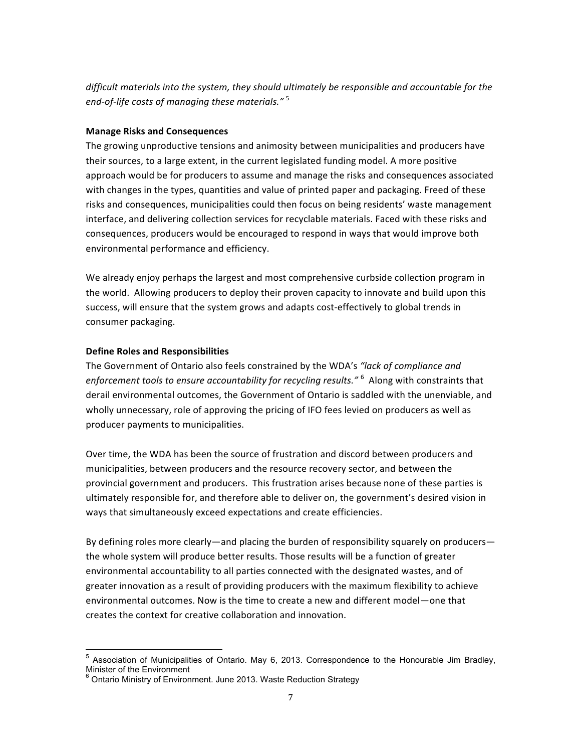*difficult* materials into the system, they should ultimately be responsible and accountable for the end-of-life costs of managing these materials."<sup>5</sup>

# **Manage Risks and Consequences**

The growing unproductive tensions and animosity between municipalities and producers have their sources, to a large extent, in the current legislated funding model. A more positive approach would be for producers to assume and manage the risks and consequences associated with changes in the types, quantities and value of printed paper and packaging. Freed of these risks and consequences, municipalities could then focus on being residents' waste management interface, and delivering collection services for recyclable materials. Faced with these risks and consequences, producers would be encouraged to respond in ways that would improve both environmental performance and efficiency.

We already enjoy perhaps the largest and most comprehensive curbside collection program in the world. Allowing producers to deploy their proven capacity to innovate and build upon this success, will ensure that the system grows and adapts cost-effectively to global trends in consumer packaging.

# **Define Roles and Responsibilities**

The Government of Ontario also feels constrained by the WDA's "lack of compliance and enforcement tools to ensure accountability for recycling results." <sup>6</sup> Along with constraints that derail environmental outcomes, the Government of Ontario is saddled with the unenviable, and wholly unnecessary, role of approving the pricing of IFO fees levied on producers as well as producer payments to municipalities.

Over time, the WDA has been the source of frustration and discord between producers and municipalities, between producers and the resource recovery sector, and between the provincial government and producers. This frustration arises because none of these parties is ultimately responsible for, and therefore able to deliver on, the government's desired vision in ways that simultaneously exceed expectations and create efficiencies.

By defining roles more clearly—and placing the burden of responsibility squarely on producers the whole system will produce better results. Those results will be a function of greater environmental accountability to all parties connected with the designated wastes, and of greater innovation as a result of providing producers with the maximum flexibility to achieve environmental outcomes. Now is the time to create a new and different model—one that creates the context for creative collaboration and innovation.

 <sup>5</sup> Association of Municipalities of Ontario. May 6, 2013. Correspondence to the Honourable Jim Bradley, Minister of the Environment

 $6$  Ontario Ministry of Environment. June 2013. Waste Reduction Strategy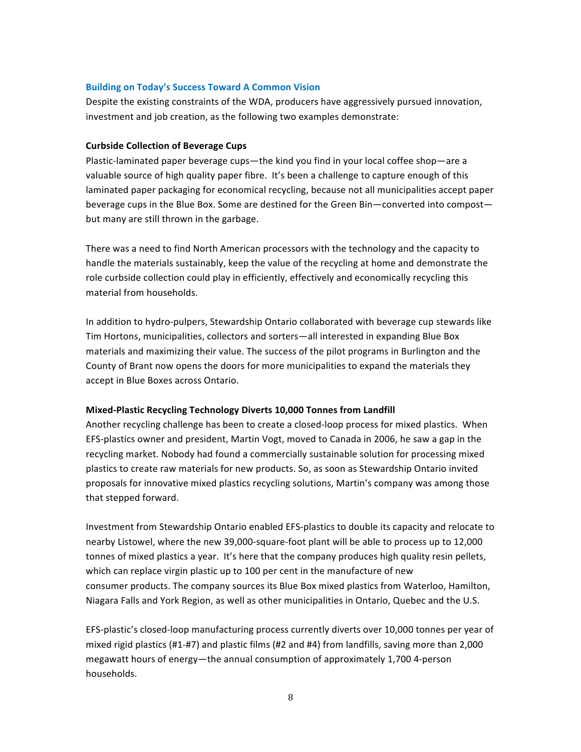## **Building on Today's Success Toward A Common Vision**

Despite the existing constraints of the WDA, producers have aggressively pursued innovation, investment and job creation, as the following two examples demonstrate:

# **Curbside Collection of Beverage Cups**

Plastic-laminated paper beverage cups—the kind you find in your local coffee shop—are a valuable source of high quality paper fibre. It's been a challenge to capture enough of this laminated paper packaging for economical recycling, because not all municipalities accept paper beverage cups in the Blue Box. Some are destined for the Green Bin—converted into compost but many are still thrown in the garbage.

There was a need to find North American processors with the technology and the capacity to handle the materials sustainably, keep the value of the recycling at home and demonstrate the role curbside collection could play in efficiently, effectively and economically recycling this material from households.

In addition to hydro-pulpers, Stewardship Ontario collaborated with beverage cup stewards like Tim Hortons, municipalities, collectors and sorters—all interested in expanding Blue Box materials and maximizing their value. The success of the pilot programs in Burlington and the County of Brant now opens the doors for more municipalities to expand the materials they accept in Blue Boxes across Ontario.

# **Mixed-Plastic Recycling Technology Diverts 10,000 Tonnes from Landfill**

Another recycling challenge has been to create a closed-loop process for mixed plastics. When EFS-plastics owner and president, Martin Vogt, moved to Canada in 2006, he saw a gap in the recycling market. Nobody had found a commercially sustainable solution for processing mixed plastics to create raw materials for new products. So, as soon as Stewardship Ontario invited proposals for innovative mixed plastics recycling solutions, Martin's company was among those that stepped forward.

Investment from Stewardship Ontario enabled EFS-plastics to double its capacity and relocate to nearby Listowel, where the new 39,000-square-foot plant will be able to process up to 12,000 tonnes of mixed plastics a year. It's here that the company produces high quality resin pellets, which can replace virgin plastic up to 100 per cent in the manufacture of new consumer products. The company sources its Blue Box mixed plastics from Waterloo, Hamilton, Niagara Falls and York Region, as well as other municipalities in Ontario, Quebec and the U.S.

EFS-plastic's closed-loop manufacturing process currently diverts over 10,000 tonnes per year of mixed rigid plastics  $(H1-H7)$  and plastic films  $(H2 \text{ and } H4)$  from landfills, saving more than 2,000 megawatt hours of energy—the annual consumption of approximately  $1,700$  4-person households.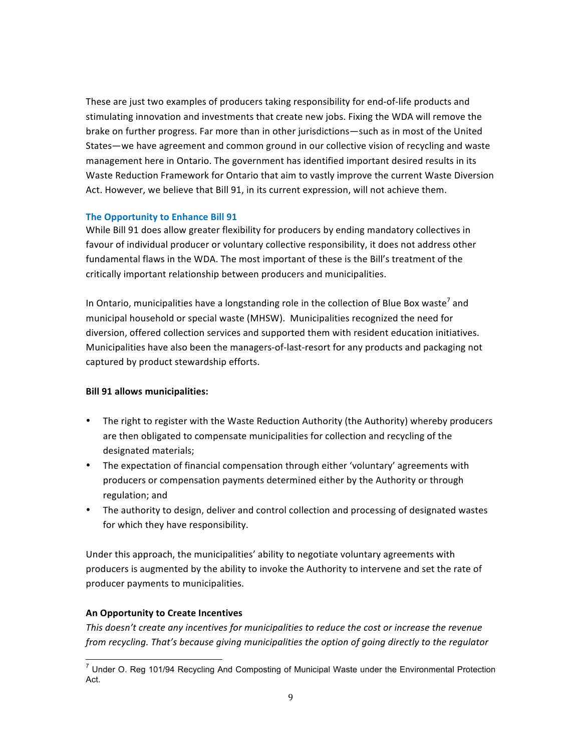These are just two examples of producers taking responsibility for end-of-life products and stimulating innovation and investments that create new jobs. Fixing the WDA will remove the brake on further progress. Far more than in other jurisdictions—such as in most of the United States—we have agreement and common ground in our collective vision of recycling and waste management here in Ontario. The government has identified important desired results in its Waste Reduction Framework for Ontario that aim to vastly improve the current Waste Diversion Act. However, we believe that Bill 91, in its current expression, will not achieve them.

# **The Opportunity to Enhance Bill 91**

While Bill 91 does allow greater flexibility for producers by ending mandatory collectives in favour of individual producer or voluntary collective responsibility, it does not address other fundamental flaws in the WDA. The most important of these is the Bill's treatment of the critically important relationship between producers and municipalities.

In Ontario, municipalities have a longstanding role in the collection of Blue Box waste<sup> $\prime$ </sup> and municipal household or special waste (MHSW). Municipalities recognized the need for diversion, offered collection services and supported them with resident education initiatives. Municipalities have also been the managers-of-last-resort for any products and packaging not captured by product stewardship efforts.

## **Bill 91 allows municipalities:**

- The right to register with the Waste Reduction Authority (the Authority) whereby producers are then obligated to compensate municipalities for collection and recycling of the designated materials;
- The expectation of financial compensation through either 'voluntary' agreements with producers or compensation payments determined either by the Authority or through regulation; and
- The authority to design, deliver and control collection and processing of designated wastes for which they have responsibility.

Under this approach, the municipalities' ability to negotiate voluntary agreements with producers is augmented by the ability to invoke the Authority to intervene and set the rate of producer payments to municipalities.

## **An Opportunity to Create Incentives**

This doesn't create any incentives for municipalities to reduce the cost or increase the revenue from recycling. That's because giving municipalities the option of going directly to the regulator

 $7$  Under O. Reg 101/94 Recycling And Composting of Municipal Waste under the Environmental Protection Act.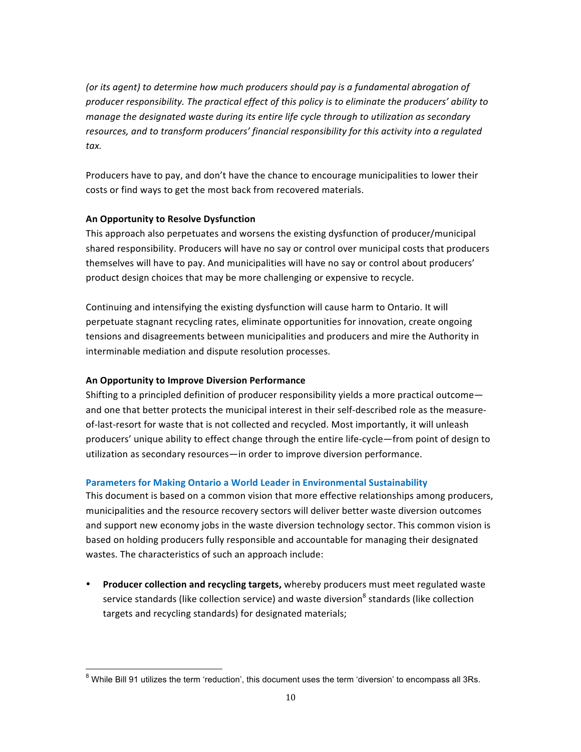(or its agent) to determine how much producers should pay is a fundamental abrogation of *producer responsibility. The practical effect of this policy is to eliminate the producers' ability to manage the designated waste during its entire life cycle through to utilization as secondary* resources, and to transform producers' financial responsibility for this activity into a regulated *tax.* 

Producers have to pay, and don't have the chance to encourage municipalities to lower their costs or find ways to get the most back from recovered materials.

# **An Opportunity to Resolve Dysfunction**

This approach also perpetuates and worsens the existing dysfunction of producer/municipal shared responsibility. Producers will have no say or control over municipal costs that producers themselves will have to pay. And municipalities will have no say or control about producers' product design choices that may be more challenging or expensive to recycle.

Continuing and intensifying the existing dysfunction will cause harm to Ontario. It will perpetuate stagnant recycling rates, eliminate opportunities for innovation, create ongoing tensions and disagreements between municipalities and producers and mire the Authority in interminable mediation and dispute resolution processes.

# **An Opportunity to Improve Diversion Performance**

Shifting to a principled definition of producer responsibility yields a more practical outcome and one that better protects the municipal interest in their self-described role as the measureof-last-resort for waste that is not collected and recycled. Most importantly, it will unleash producers' unique ability to effect change through the entire life-cycle—from point of design to utilization as secondary resources—in order to improve diversion performance.

# **Parameters for Making Ontario a World Leader in Environmental Sustainability**

This document is based on a common vision that more effective relationships among producers, municipalities and the resource recovery sectors will deliver better waste diversion outcomes and support new economy jobs in the waste diversion technology sector. This common vision is based on holding producers fully responsible and accountable for managing their designated wastes. The characteristics of such an approach include:

• Producer collection and recycling targets, whereby producers must meet regulated waste service standards (like collection service) and waste diversion<sup>8</sup> standards (like collection targets and recycling standards) for designated materials;

 $8$  While Bill 91 utilizes the term 'reduction', this document uses the term 'diversion' to encompass all 3Rs.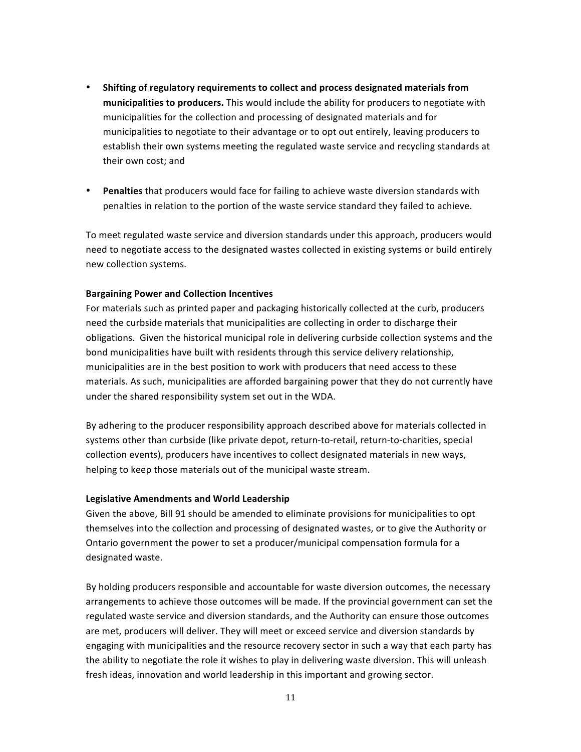- Shifting of regulatory requirements to collect and process designated materials from **municipalities to producers.** This would include the ability for producers to negotiate with municipalities for the collection and processing of designated materials and for municipalities to negotiate to their advantage or to opt out entirely, leaving producers to establish their own systems meeting the regulated waste service and recycling standards at their own cost; and
- Penalties that producers would face for failing to achieve waste diversion standards with penalties in relation to the portion of the waste service standard they failed to achieve.

To meet regulated waste service and diversion standards under this approach, producers would need to negotiate access to the designated wastes collected in existing systems or build entirely new collection systems.

## **Bargaining Power and Collection Incentives**

For materials such as printed paper and packaging historically collected at the curb, producers need the curbside materials that municipalities are collecting in order to discharge their obligations. Given the historical municipal role in delivering curbside collection systems and the bond municipalities have built with residents through this service delivery relationship, municipalities are in the best position to work with producers that need access to these materials. As such, municipalities are afforded bargaining power that they do not currently have under the shared responsibility system set out in the WDA.

By adhering to the producer responsibility approach described above for materials collected in systems other than curbside (like private depot, return-to-retail, return-to-charities, special collection events), producers have incentives to collect designated materials in new ways, helping to keep those materials out of the municipal waste stream.

## Legislative Amendments and World Leadership

Given the above, Bill 91 should be amended to eliminate provisions for municipalities to opt themselves into the collection and processing of designated wastes, or to give the Authority or Ontario government the power to set a producer/municipal compensation formula for a designated waste.

By holding producers responsible and accountable for waste diversion outcomes, the necessary arrangements to achieve those outcomes will be made. If the provincial government can set the regulated waste service and diversion standards, and the Authority can ensure those outcomes are met, producers will deliver. They will meet or exceed service and diversion standards by engaging with municipalities and the resource recovery sector in such a way that each party has the ability to negotiate the role it wishes to play in delivering waste diversion. This will unleash fresh ideas, innovation and world leadership in this important and growing sector.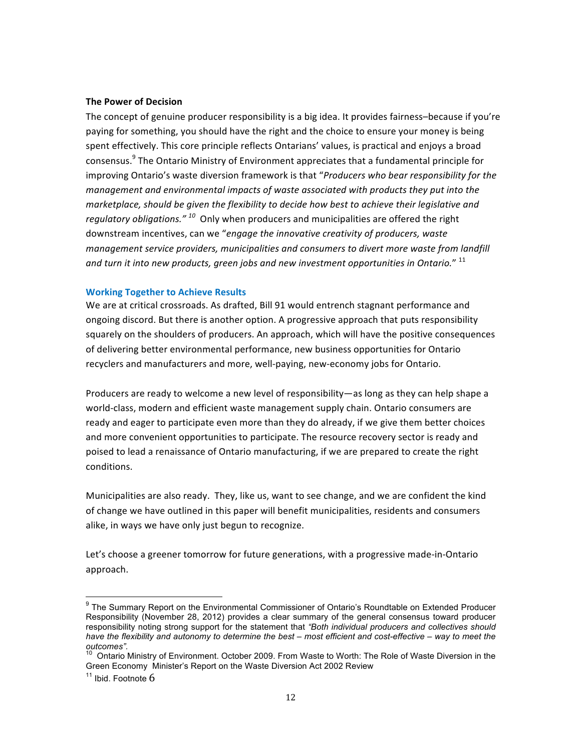#### **The Power of Decision**

The concept of genuine producer responsibility is a big idea. It provides fairness–because if you're paying for something, you should have the right and the choice to ensure your money is being spent effectively. This core principle reflects Ontarians' values, is practical and enjoys a broad consensus.<sup>9</sup> The Ontario Ministry of Environment appreciates that a fundamental principle for improving Ontario's waste diversion framework is that "*Producers who bear responsibility for the management and environmental impacts of waste associated with products they put into the marketplace, should be given the flexibility to decide how best to achieve their legislative and regulatory obligations."* <sup>10</sup> Only when producers and municipalities are offered the right downstream incentives, can we "engage the *innovative creativity of producers, waste management service providers, municipalities and consumers to divert more waste from landfill* and turn it into new products, green jobs and new investment opportunities in Ontario." <sup>11</sup>

# **Working Together to Achieve Results**

We are at critical crossroads. As drafted, Bill 91 would entrench stagnant performance and ongoing discord. But there is another option. A progressive approach that puts responsibility squarely on the shoulders of producers. An approach, which will have the positive consequences of delivering better environmental performance, new business opportunities for Ontario recyclers and manufacturers and more, well-paying, new-economy jobs for Ontario.

Producers are ready to welcome a new level of responsibility—as long as they can help shape a world-class, modern and efficient waste management supply chain. Ontario consumers are ready and eager to participate even more than they do already, if we give them better choices and more convenient opportunities to participate. The resource recovery sector is ready and poised to lead a renaissance of Ontario manufacturing, if we are prepared to create the right conditions.

Municipalities are also ready. They, like us, want to see change, and we are confident the kind of change we have outlined in this paper will benefit municipalities, residents and consumers alike, in ways we have only just begun to recognize.

Let's choose a greener tomorrow for future generations, with a progressive made-in-Ontario approach. 

<sup>&</sup>lt;sup>9</sup> The Summary Report on the Environmental Commissioner of Ontario's Roundtable on Extended Producer Responsibility (November 28, 2012) provides a clear summary of the general consensus toward producer responsibility noting strong support for the statement that *"Both individual producers and collectives should have the flexibility and autonomy to determine the best – most efficient and cost-effective – way to meet the* 

*outcomes".*<br><sup>10</sup> Ontario Ministry of Environment. October 2009. From Waste to Worth: The Role of Waste Diversion in the Green Economy Minister's Report on the Waste Diversion Act 2002 Review  $11$  Ibid. Footnote 6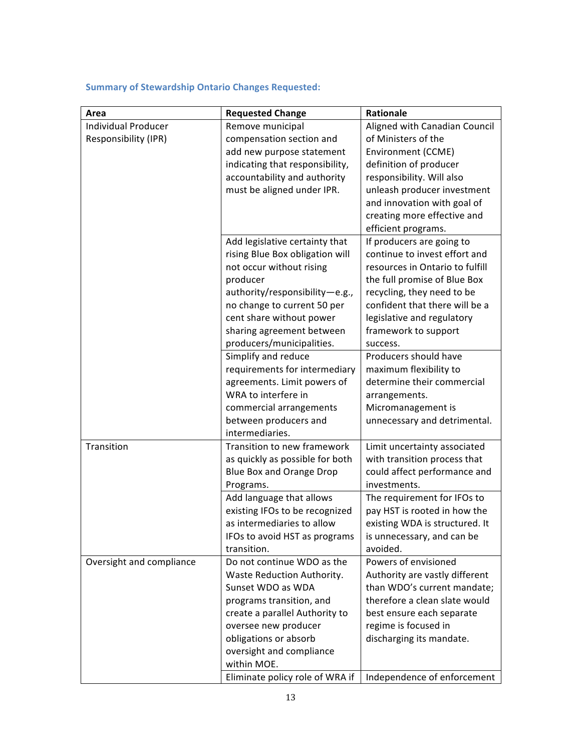# **Summary of Stewardship Ontario Changes Requested:**

| Area                       | <b>Requested Change</b>                                      | Rationale                                                      |
|----------------------------|--------------------------------------------------------------|----------------------------------------------------------------|
| <b>Individual Producer</b> | Remove municipal                                             | Aligned with Canadian Council                                  |
| Responsibility (IPR)       | compensation section and                                     | of Ministers of the                                            |
|                            | add new purpose statement                                    | Environment (CCME)                                             |
|                            | indicating that responsibility,                              | definition of producer                                         |
|                            | accountability and authority                                 | responsibility. Will also                                      |
|                            | must be aligned under IPR.                                   | unleash producer investment                                    |
|                            |                                                              | and innovation with goal of                                    |
|                            |                                                              | creating more effective and                                    |
|                            |                                                              | efficient programs.                                            |
|                            | Add legislative certainty that                               | If producers are going to                                      |
|                            | rising Blue Box obligation will                              | continue to invest effort and                                  |
|                            | not occur without rising                                     | resources in Ontario to fulfill                                |
|                            | producer                                                     | the full promise of Blue Box                                   |
|                            | authority/responsibility-e.g.,                               | recycling, they need to be                                     |
|                            | no change to current 50 per                                  | confident that there will be a                                 |
|                            | cent share without power                                     | legislative and regulatory                                     |
|                            | sharing agreement between                                    | framework to support                                           |
|                            | producers/municipalities.                                    | success.                                                       |
|                            | Simplify and reduce                                          | Producers should have                                          |
|                            | requirements for intermediary                                | maximum flexibility to                                         |
|                            | agreements. Limit powers of                                  | determine their commercial                                     |
|                            | WRA to interfere in                                          | arrangements.                                                  |
|                            | commercial arrangements                                      | Micromanagement is                                             |
|                            | between producers and                                        | unnecessary and detrimental.                                   |
|                            | intermediaries.                                              |                                                                |
| Transition                 | Transition to new framework                                  | Limit uncertainty associated                                   |
|                            | as quickly as possible for both                              | with transition process that                                   |
|                            | <b>Blue Box and Orange Drop</b>                              | could affect performance and                                   |
|                            | Programs.                                                    | investments.                                                   |
|                            | Add language that allows                                     | The requirement for IFOs to                                    |
|                            | existing IFOs to be recognized<br>as intermediaries to allow | pay HST is rooted in how the<br>existing WDA is structured. It |
|                            | IFOs to avoid HST as programs                                |                                                                |
|                            | transition.                                                  | is unnecessary, and can be<br>avoided.                         |
| Oversight and compliance   | Do not continue WDO as the                                   | Powers of envisioned                                           |
|                            | Waste Reduction Authority.                                   | Authority are vastly different                                 |
|                            | Sunset WDO as WDA                                            | than WDO's current mandate;                                    |
|                            | programs transition, and                                     | therefore a clean slate would                                  |
|                            | create a parallel Authority to                               | best ensure each separate                                      |
|                            | oversee new producer                                         | regime is focused in                                           |
|                            | obligations or absorb                                        | discharging its mandate.                                       |
|                            | oversight and compliance                                     |                                                                |
|                            | within MOE.                                                  |                                                                |
|                            | Eliminate policy role of WRA if                              | Independence of enforcement                                    |